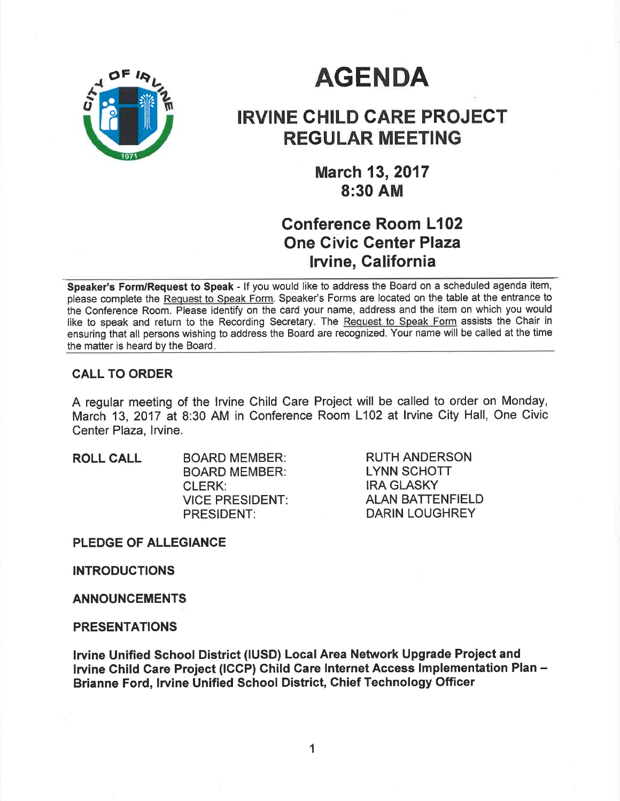

# **AGENDA**

# IRVINE GHILD GARE PROJECT REGULAR MEETING

March 13,2017 8:30 AM

## Gonference Room L102 One Civic Genter Plaza **Irvine, California**

Speaker's Form/Request to Speak - If you would like to address the Board on a scheduled agenda item, please complete the Request to Speak Form. Speaker's Forms are located on the table at the entrance to the Conference Room. Please identify on the card your name, address and the item on which you would like to speak and return to the Recording Secretary. The Request to Speak Form assists the Chair in ensuring that all persons wishing to address the Board are recognized. Your name will be called at the time the matter is heard by the Board

## CALL TO ORDER

A regular meeting of the lrvine Child Care Project will be called to order on Monday, March 13, 2017 at 8:30 AM in Conference Room L102 at lrvine City Hall, One Civic Center Plaza, Irvine.

ROLL CALL BOARD MEMBER: BOARD MEMBER: CLERK: VICE PRESIDENT PRESIDENT:

RUTH ANDERSON LYNN SCHOTT IRA GLASKY ALAN BATTENFIELD DARIN LOUGHREY

PLEDGE OF ALLEGIANCE

INTRODUCTIONS

ANNOUNCEMENTS

#### PRESENTATIONS

lrvine Unified School District (IUSD) Local Area Network Upgrade Project and Irvine Child Care Project (ICCP) Child Care Internet Access Implementation Plan -Brianne Ford, lrvine Unified School District, Chief Technology Officer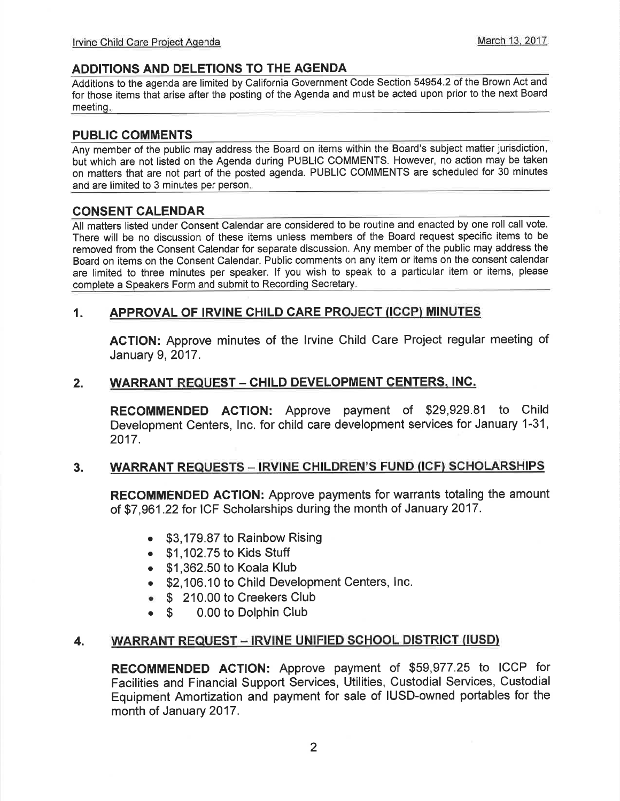#### ADDITIONS AND DELETIONS TO THE AGENDA

Additions to the agenda are limited by California Government Code Section 54954.2 of the Brown Act and for those items that arise after the posting of the Agenda and must be acted upon prior to the next Board meetinq

#### PUBLIC COMMENTS

Any member of the public may address the Board on items within the Board's subject matter jurisdiction, but which are not listed on the Agenda during PUBLIC COMMENTS. However, no action may be taken on matters that are not part of the posted agenda. PUBLIC COMMENTS are scheduled for 30 minutes and are limited to 3 minutes per person

#### CONSENT CALENDAR

All matters listed under Consent Calendar are considered to be routine and enacted by one roll call vote. There will be no discussion of these items unless members of the Board request specific items to be removed from the Consent Calendar for separate discussion. Any member of the public may address the Board on items on the Consent Calendar. Public comments on any item or items on the consent calendar are limited to three minutes per speaker. lf you wish to speak to a particular item or items, please complete a Speakers Form and submit to Recording Secretary

## 1. APPROVAL OF IRVINE CHILD CARE PROJECT (ICCP) MINUTES

AGTION: Approve minutes of the lrvine Child Care Project regular meeting of January 9,2017.

#### 2. WARRANT REQUEST - CHILD DEVELOPMENT CENTERS, INC.

RECOMMENDED ACTION: Approve payment of \$29,929.81 to Child Development Centers, lnc. for child care development services for January 1-31, 2017.

#### 3. WARRANT REQUESTS - IRVINE CHILDREN'S FUND (ICF) SCHOLARSHIPS

RECOMMENDED AGTION: Approve payments for warrants totaling the amount of \$7,961.22 for ICF Scholarships during the month of January 2017.

- \$3,179.87 to Rainbow Rising
- $\bullet$  \$1.102.75 to Kids Stuff
- . \$1,362.50 to Koala Klub
- . \$2,106.10 to Child Development Centers, lnc.
- **S** 210.00 to Creekers Club<br> **S** 0.00 to Dolphin Club
- 0.00 to Dolphin Club

#### WARRANT REQUEST - IRVINE UNIFIED SCHOOL DISTRICT (IUSD) 4.

RECOMMENDED ACTION: Approve payment of \$59,977.25 to ICCP for Facilities and Financial Support Services, Utilities, Custodial Services, Custodial Equipment Amortization and payment for sale of IUSD-owned portables for the month of January 2017.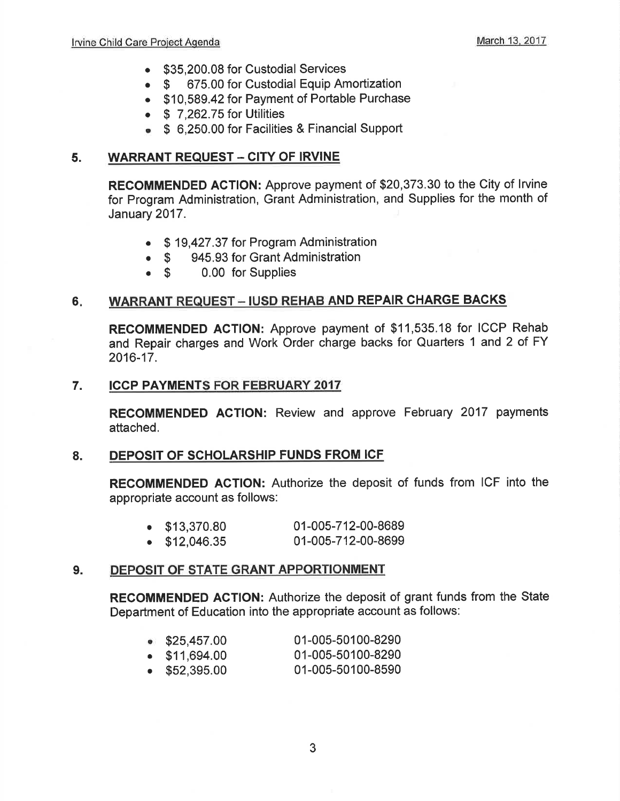- \$35,200.08 for Custodial Services
- o \$ 675.00 for Custodial Equip Amortization
- . \$10,589.42 for Payment of Portable Purchase
- $\bullet$  \$ 7,262.75 for Utilities
- . \$ 6,250.00 for Facilities & Financial Support

#### 5. WARRANT REQUEST - CITY OF IRVINE

RECOMMENDED ACTION: Approve payment of \$20,373.30 to the City of lrvine for Program Administration, Grant Administration, and Supplies for the month of January 2017.

- . \$ 19,427.37 for Program Administration
- \$ 945.93 for Grant Administration<br>• \$ 0.00 for Supplies
- 0.00 for Supplies

#### WARRANT REQUEST - IUSD REHAB AND REPAIR CHARGE BACKS 6

RECOMMENDED AGTION: Approve payment of \$11,535.18 for ICCP Rehab and Repair charges and Work Order charge backs for Quarters 1 and 2 of FY 2016-17.

#### 7. ICCP PAYMENTS FOR FEBRUARY <sup>2017</sup>

RECOMMENDED AGTION: Review and approve February 2017 payments attached.

## 8. DEPOSIT OF SCHOLARSHIP FUNDS FROM ICF

RECOMMENDED AGTION: Authorize the deposit of funds from ICF into the appropriate account as follows:

- . \$13,370.80 01-005-712-00-8689
- . \$12,046.35 01-005-712-00-8699

#### 9. DEPOSIT OF STATE GRANT APPORTIONMENT

RECOMMENDED AGTION: Authorize the deposit of grant funds from the State Department of Education into the appropriate account as follows:

| $\bullet$ \$25,457.00 | 01-005-50100-8290 |
|-----------------------|-------------------|

- . \$11,694.00 01-005-50100-8290
- . \$52,395.00 01-005-50100-8590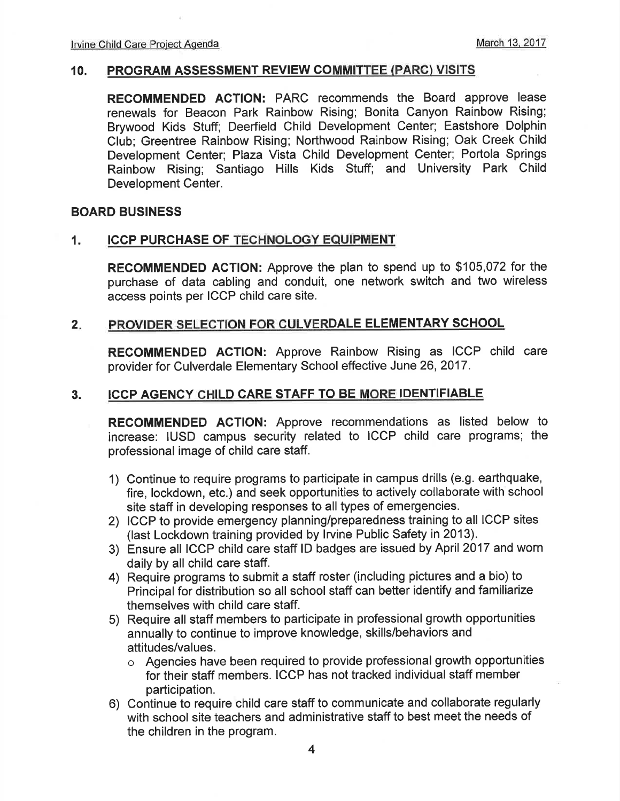#### 10. PROGRAM ASSESSMENT REVIEW COMMITTEE (PARC) VISITS

RECOMMENDED AGTION: PARC recommends the Board approve lease renewals for Beacon Park Rainbow Rising; Bonita Canyon Rainbow Rising; Brywood Kids Stuff; Deerfield Child Development Center; Eastshore Dolphin Club; Greentree Rainbow Rising; Northwood Rainbow Rising; Oak Creek Child Development Center; Plaza Vista Child Development Center; Portola Springs Rainbow Rising; Santiago Hills Kids Stuff; and University Park Child Development Center.

#### BOARD BUSINESS

#### 1. ICCP PURCHASE OF TECHNOLOGY EQUIPMENT

RECOMMENDED ACTION: Approve the plan to spend up to \$105,072 for the purchase of data cabling and conduit, one network switch and two wireless access points per ICCP child care site.

#### $2.$ PROVIDER SELECTION FOR CULVERDALE ELEMENTARY SCHOOL

RECOMMENDED AGTION: Approve Rainbow Rising as ICCP child care provider for Culverdale Elementary School effective June 26,2017.

#### 3. ICCP AGENCY CHILD CARE STAFF TO BE MORE IDENTIFIABLE

RECOMMENDED ACTION: Approve recommendations as listed below to increase: IUSD campus security related to ICCP child care programs; the professional image of child care staff.

- 1) Continue to require programs to participate in campus drills (e.9. earthquake, fire, lockdown, etc.) and seek opportunities to actively collaborate with school site staff in developing responses to all types of emergencies.
- 2) ICCP to provide emergency planning/preparedness training to all ICCP sites (last Lockdown training provided by lrvine Public Safety in 2013).
- 3) Ensure all ICCP child care staff lD badges are issued by April 2017 and worn daily by all child care staff.
- 4) Require programs to submit a staff roster (including pictures and a bio) to Principal for distribution so all school staff can better identify and familiarize themselves with child care staff.
- 5) Require all statf members to participate in professional growth opportunities annually to continue to improve knowledge, skills/behaviors and attitudes/values.
	- $\circ$  Agencies have been required to provide professional growth opportunities for their staff members. ICCP has not tracked individual staff member participation.
- 6) Continue to require child care staff to communicate and collaborate regularly with school site teachers and administrative staff to best meet the needs of the children in the program.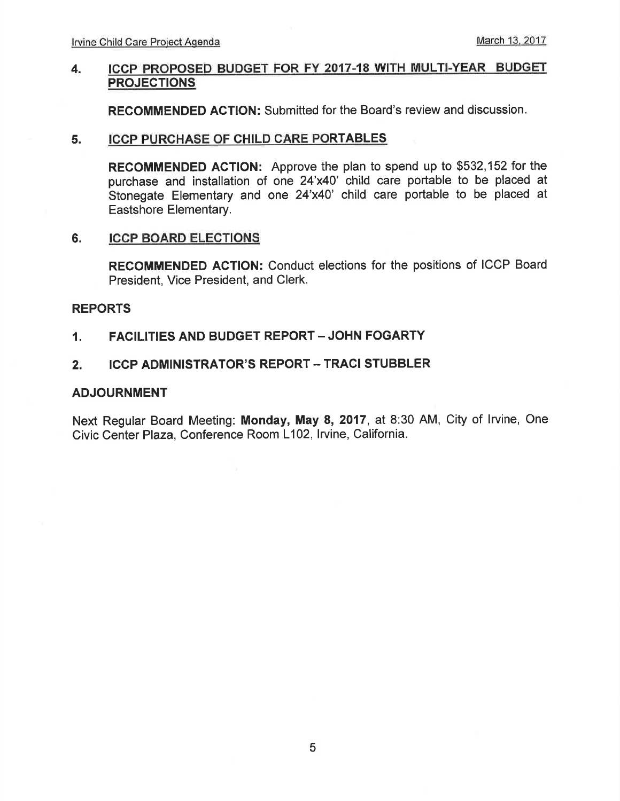#### 4. ICCP PROPOSED BUDGET FOR FY 2017.18 WITH MULTI.YEAR BUDGET PROJECTIONS

RECOMMENDED ACTION: Submitted for the Board's review and discussion.

#### 5. ICCP PURCHASE OF CHILD CARE PORTABLES

RECOMMENDED ACTION: Approve the plan to spend up to \$532,152 for the purchase and installation of one 24'x40' child care portable to be placed at Stonegate Elementary and one 24'x40' child care portable to be placed at Eastshore Elementary.

#### 6. ICCP BOARD ELECTIONS

RECOMMENDED ACTION: Conduct elections for the positions of ICCP Board President, Vice President, and Clerk.

#### REPORTS

#### 1. FACILITIES AND BUDGET REPORT - JOHN FOGARTY

#### 2. ICCP ADMINISTRATOR'S REPORT - TRACI STUBBLER

#### ADJOURNMENT

Next Regular Board Meeting: Monday, May 8, 2017, at 8:30 AM, City of lrvine, One Civic Center Plaza, Conference Room L102, Irvine, California.